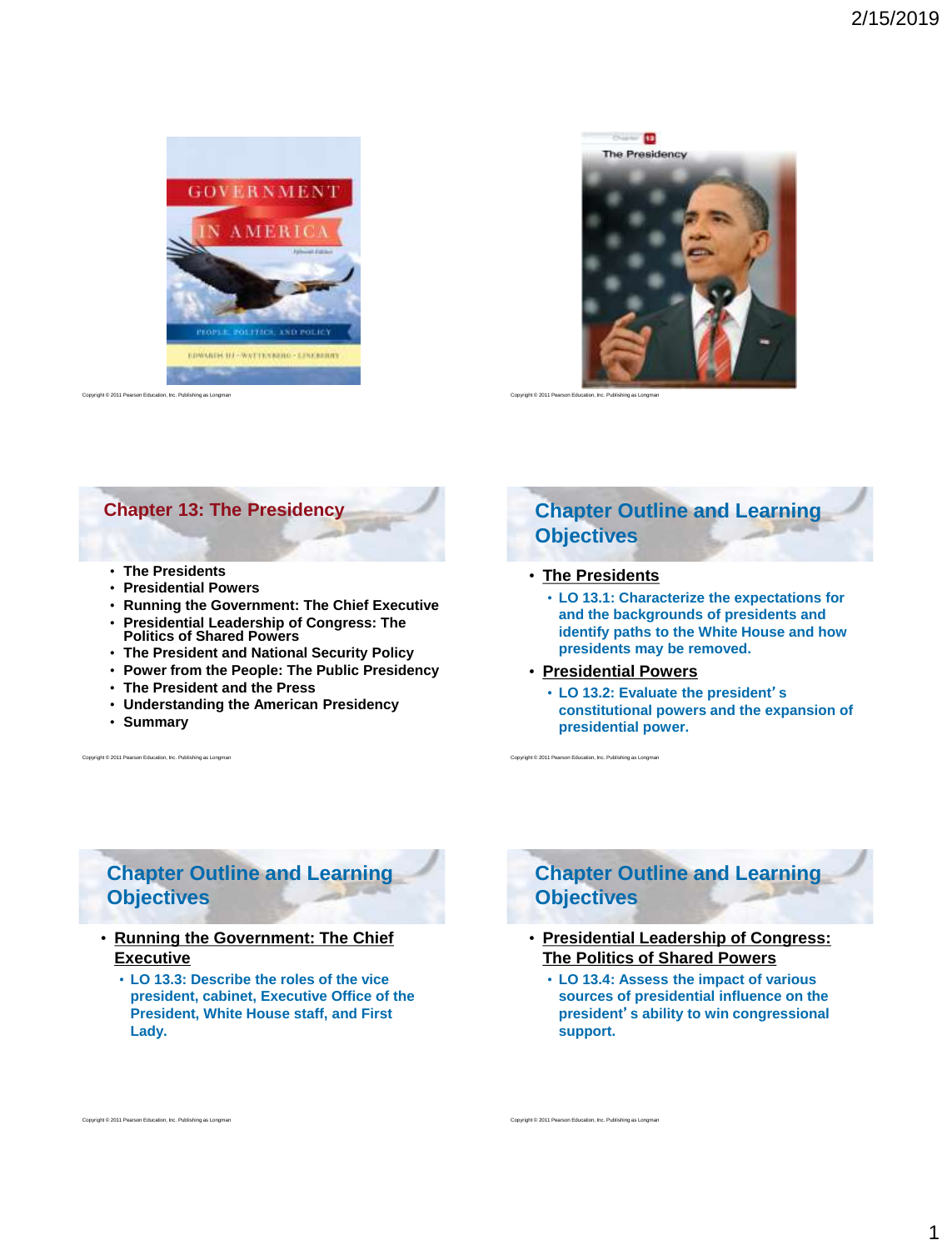<span id="page-0-0"></span>

 $rac{1}{2}$ 



## **Chapter 13: The Presidency**

- **The Presidents**
- **Presidential Powers**
- **Running the Government: The Chief Executive**
- **Presidential Leadership of Congress: The Politics of Shared Powers**
- **The President and National Security Policy**
- **Power from the People: The Public Presidency**
- **The President and the Press**
- **Understanding the American Presidency**
- **Summary**

Copyright © 2011 Pearson Education, Inc. Publishing as Longman

Int © 2011 Pearson Education, Inc. Publishing as Long

# **Chapter Outline and Learning Objectives**

#### • **[The Presidents](#page-1-0)**

- **LO 13.1: Characterize the expectations for and the backgrounds of presidents and identify paths to the White House and how presidents may be removed.**
- **[Presidential Powers](#page-3-0)**

Copyright © 2011 Pearson Education, Inc. Publishing as Longman

• **LO 13.2: Evaluate the president**'**s constitutional powers and the expansion of presidential power.**

**Chapter Outline and Learning Objectives**

- **[Running the Government: The Chief](#page-4-0)  Executive**
	- **LO 13.3: Describe the roles of the vice president, cabinet, Executive Office of the President, White House staff, and First Lady.**

# **Chapter Outline and Learning Objectives**

- **[Presidential Leadership of Congress:](#page-6-0)  The Politics of Shared Powers**
	- **LO 13.4: Assess the impact of various sources of presidential influence on the president**'**s ability to win congressional support.**

Copyright © 2011 Pearson Education, Inc. Publishing as Longman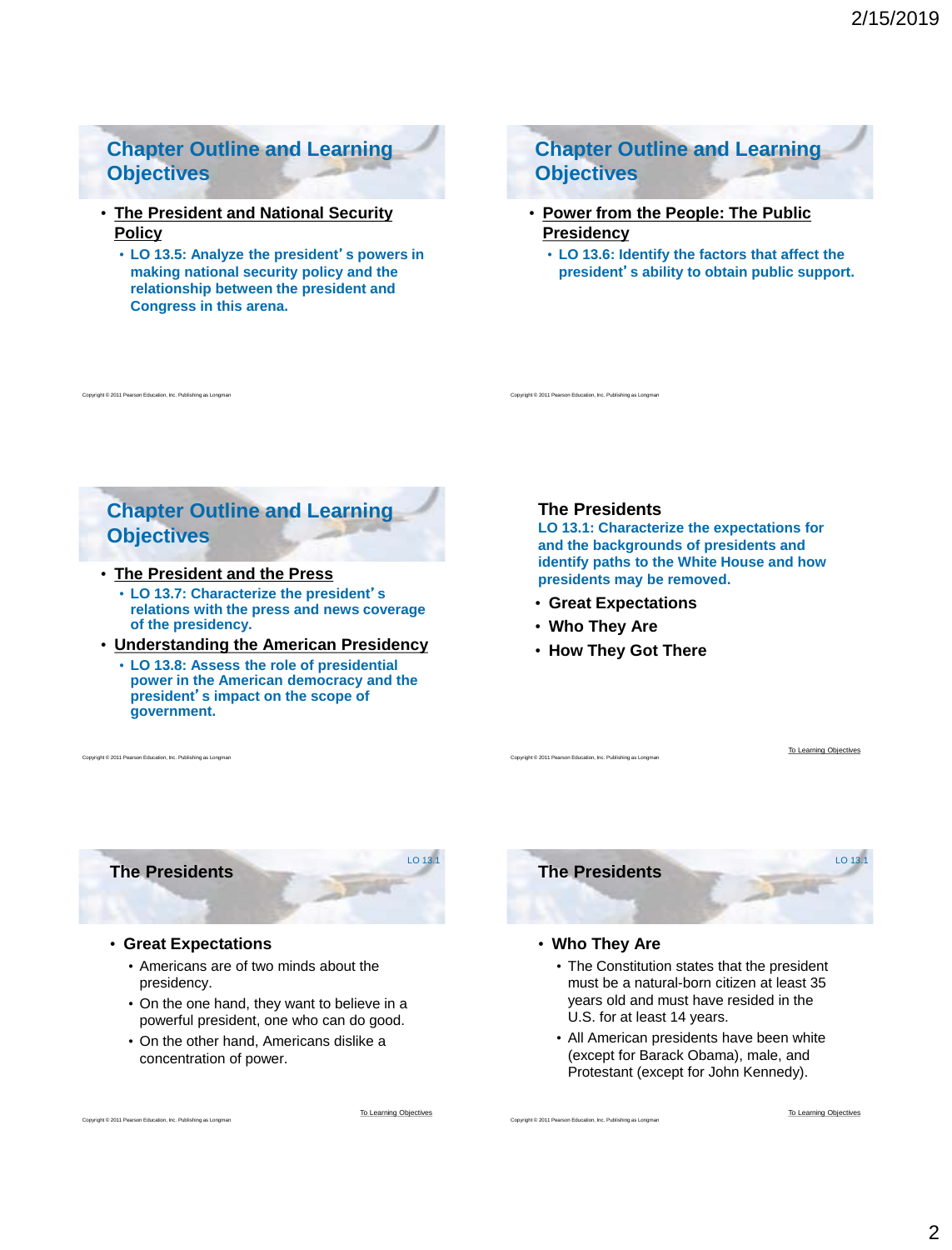# <span id="page-1-0"></span>**Chapter Outline and Learning Objectives**

- **[The President and National Security](#page-8-0)  Policy**
	- **LO 13.5: Analyze the president**'**s powers in making national security policy and the relationship between the president and Congress in this arena.**

**Chapter Outline and Learning Objectives**

- **[Power from the People: The Public](#page-9-0)  Presidency**
	- **LO 13.6: Identify the factors that affect the president**'**s ability to obtain public support.**

**Chapter Outline and Learning Objectives**

#### • **[The President and the Press](#page-10-0)**

right © 2011 Pearson Education, Inc. Publishing as Long

- **LO 13.7: Characterize the president**'**s relations with the press and news coverage of the presidency.**
- **[Understanding the American Presidency](#page-11-0)**
	- **LO 13.8: Assess the role of presidential power in the American democracy and the president**'**s impact on the scope of government.**

### **The Presidents**

Copyright © 2011 Pearson Education, Inc. Publishing as Longman

**LO 13.1: Characterize the expectations for and the backgrounds of presidents and identify paths to the White House and how presidents may be removed.**

- **Great Expectations**
- **Who They Are**
- **How They Got There**

Copyright © 2011 Pearson Education, Inc. Publishing as Longman

[To Learning Objectives](#page-0-0)

**The Presidents**

ght © 2011 Pearson Education, Inc. Publishing as Long

Copyright © 2011 Pearson Education, Inc. Publishing as Longman

#### • **Great Expectations**

- Americans are of two minds about the presidency.
- On the one hand, they want to believe in a powerful president, one who can do good.
- On the other hand, Americans dislike a concentration of power.

[To Learning Objectives](#page-0-0)

 $1013.$ 





#### • **Who They Are**

Copyright © 2011 Pearson Education, Inc. Publishing as Longman

- The Constitution states that the president must be a natural-born citizen at least 35 years old and must have resided in the U.S. for at least 14 years.
- All American presidents have been white (except for Barack Obama), male, and Protestant (except for John Kennedy).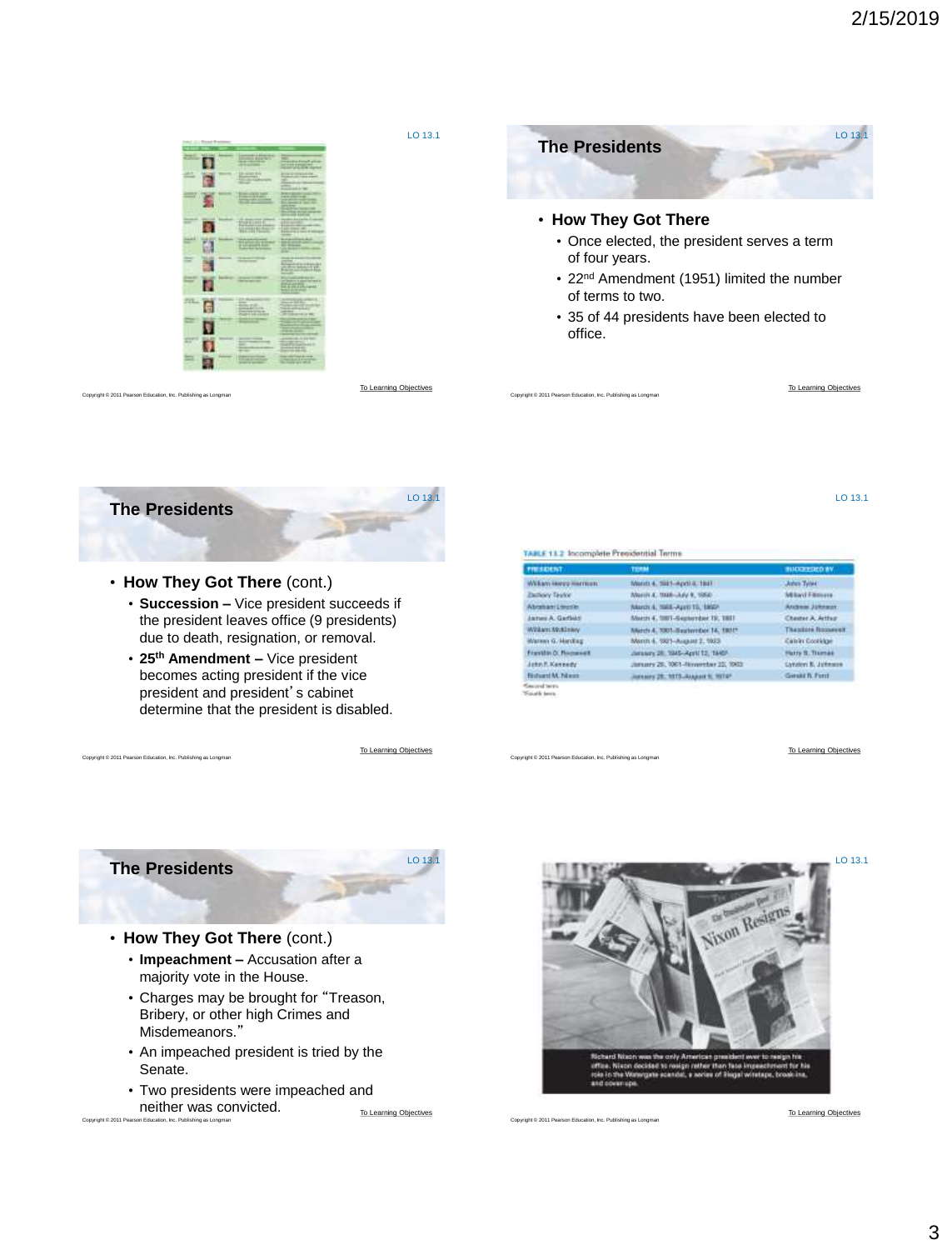



#### • **How They Got There** (cont.)

- **Succession –** Vice president succeeds if the president leaves office (9 presidents) due to death, resignation, or removal.
- **25th Amendment –** Vice president becomes acting president if the vice president and president's cabinet determine that the president is disabled.

[To Learning Objectives](#page-0-0)

LO 13. $\overline{1}$ 

LO 13

| TABLE 11.2 Incomplete Presidential Terms |  |  |
|------------------------------------------|--|--|

| <b>FIELSKIERT</b>                        | <b>TERM</b>                        | <b>BUDGETOOD BY</b>        |
|------------------------------------------|------------------------------------|----------------------------|
| William Henry Herman:                    | March 4, 3821-April 8, 1941        | <b>John Tylet</b>          |
| <b>Eastewy Taylor</b>                    | March 4, 5948-July 8, 1958         | Milayd Filmoure            |
| Abraham Linusler                         | Narch 4, 1965-April 15, 1860-      | Andrew Johnson             |
| James A. Gartisto                        | March 4, 1981-Sapterday 19, 1811   | Chester A. Arthur          |
| William McKlowy                          | March A. 2001-Beaternber 14, 1901* | <b>Thealast Roosever</b>   |
| Warren G. Handburg                       | March 4, 5921-August 2, 1933       | Calvin Coolvige            |
| Franklin D. Romawell                     | January 28, 1945-April 12, 1949    | Harry B. Thomas            |
| John F. Kennedy                          | January 28, 1961-November 22, 1963 | <b>Exhiber: N. Johnson</b> |
| Notwell M. Nikon                         | Inches 28, 1973-Associate Hotel    | Gieski R. Ford             |
| Geographication<br>Ford with the control |                                    |                            |

Copyright © 2011 Pearson Education, Inc. Publishing as Longman

[To Learning Objectives](#page-0-0)



Copyright © 2011 Pearson Education, Inc. Publishing as Longman

### • **How They Got There** (cont.)

- **Impeachment –** Accusation after a majority vote in the House.
- Charges may be brought for "Treason, Bribery, or other high Crimes and Misdemeanors."
- An impeached president is tried by the Senate.
- Copyright © 2011 Pearson Education, Inc. Publishing as Longman • Two presidents were impeached and neither was convicted.<br>[To Learning Objectives](#page-0-0)



Copyright © 2011 Pearson Education, Inc. Publishing as Longma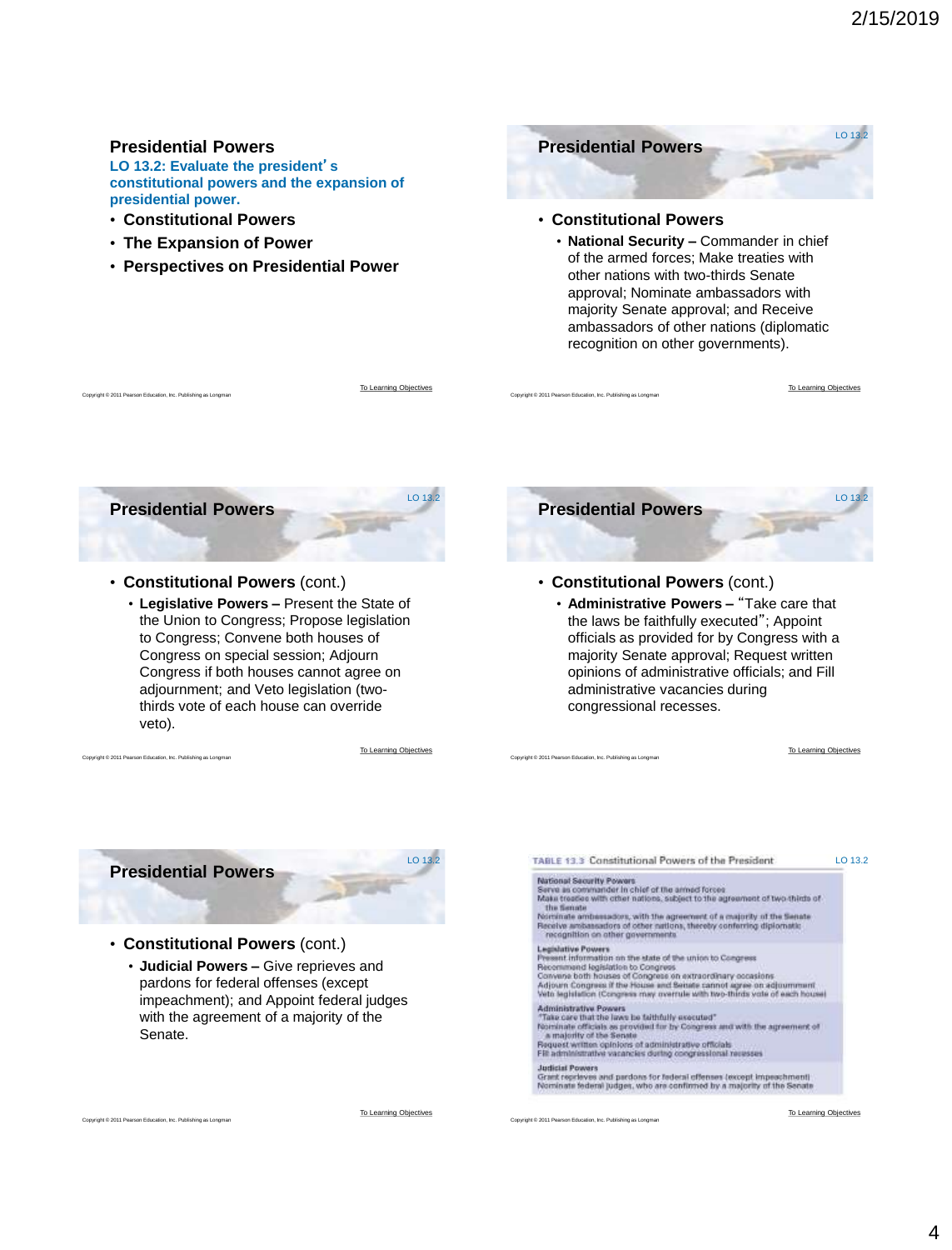#### <span id="page-3-0"></span>**Presidential Powers Presidential Powers LO 13.2: Evaluate the president**'**s constitutional powers and the expansion of presidential power.** • **Constitutional Powers** • **Constitutional Powers** • **The Expansion of Power** • **National Security –** Commander in chief of the armed forces; Make treaties with • **Perspectives on Presidential Power** other nations with two-thirds Senate approval; Nominate ambassadors with majority Senate approval; and Receive ambassadors of other nations (diplomatic recognition on other governments). [To Learning Objectives](#page-0-0) [To Learning Objectives](#page-0-0) Copyright © 2011 Pearson Education, Inc. Publishing as Longman Copyright Copyright Copyright Copyright © 2011 Pearson Education, Inc. Publishing as Longman Copyright © 2011 Pearson Education, Inc. Publishing as Longman LO 13.2 LO  $13.2$ **Presidential Powers Presidential Powers** • **Constitutional Powers** (cont.) • **Constitutional Powers** (cont.) • **Legislative Powers –** Present the State of • **Administrative Powers –** "Take care that the Union to Congress; Propose legislation the laws be faithfully executed"; Appoint to Congress; Convene both houses of officials as provided for by Congress with a Congress on special session; Adjourn majority Senate approval; Request written opinions of administrative officials; and Fill Congress if both houses cannot agree on adjournment; and Veto legislation (twoadministrative vacancies during thirds vote of each house can override congressional recesses. veto). [To Learning Objectives](#page-0-0) [To Learning Objectives](#page-0-0) Copyright © 2011 Pearson Education, Inc. Publishing as Longman Copyright © 2011 Pearson Education, Inc. Publishing as Longman LO 13.2 LO 13.2TABLE 13.3 Constitutional Powers of the President **Presidential Powers** National Security Powers<br>Serve an communication chief of the arms<br>of forces of Mata treations with other nations, subject to the suprement of two thirds of<br>the finance orthonormal with the agreement of a majority of the S • **Constitutional Powers** (cont.) Legislative Powers<br>Present information on the state of the union to Congress<br>Percentianal legislation to Congress<br>Recommend bigislation to Congress<br>Adjourn Congress of the House and Senate cannot agree on adjournment<br>Adjou • **Judicial Powers –** Give reprieves and pardons for federal offenses (except impeachment); and Appoint federal judges Administrative Powers<br>
"Take care that the laws he faithfully executed"<br>
"Take care that the laws he faithfully executed"<br>
"Remainster of the Senate<br>
Analysis' of the Senate<br>
Bequest written opinions of administrative offi with the agreement of a majority of the Senate. Judicial Powers<br>Grant regeleves and pardons for federal offenses (except impeachment)<br>Nominate federal judges, who are confirmed by a majority of the Secate [To Learning Objectives](#page-0-0) [To Learning Objectives](#page-0-0) ight © 2011 Pearson Education, Inc. Publishing as Long Copyright © 2011 Pearson Education, Inc. Publishing as Longman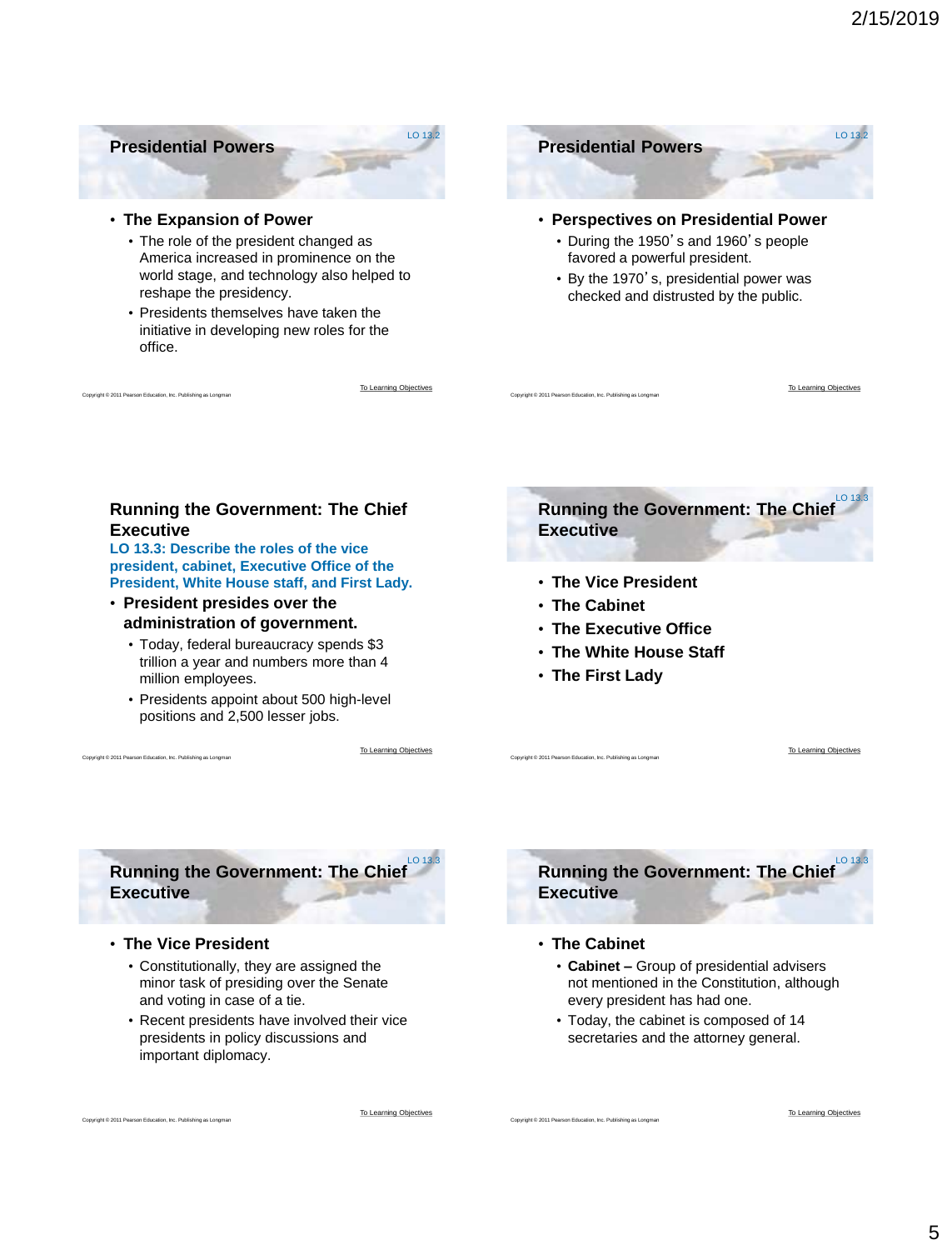### <span id="page-4-0"></span>**Presidential Powers**

#### • **The Expansion of Power**

- The role of the president changed as America increased in prominence on the world stage, and technology also helped to reshape the presidency.
- Presidents themselves have taken the initiative in developing new roles for the office.

nt © 2011 Pearson Education, Inc. Publishing as Lon

[To Learning Objectives](#page-0-0)

LO 13.2

**Presidential Powers** LO 13.2

- **Perspectives on Presidential Power**
	- During the 1950's and 1960's people favored a powerful president.
	- By the 1970's, presidential power was checked and distrusted by the public.

### **Running the Government: The Chief Executive**

**LO 13.3: Describe the roles of the vice president, cabinet, Executive Office of the President, White House staff, and First Lady.**

- **President presides over the administration of government.**
	- Today, federal bureaucracy spends \$3 trillion a year and numbers more than 4 million employees.
	- Presidents appoint about 500 high-level positions and 2,500 lesser jobs.

[To Learning Objectives](#page-0-0) Copyright Copyright Copyright Copyright Copyright Copyright Copyright Copyright Copyright Copyright Copyright Copyright Copyright Copyright Copyright Copyright Copyright Copyright Copyright Copyright Copyright Copyright Co

**Running the Government: The Chief Executive** LO 13

- **The Vice President**
- **The Cabinet**

Copyright © 2011 Pearson Education, Inc. Publishing as Longman

- **The Executive Office**
- **The White House Staff**
- **The First Lady**

[To Learning Objectives](#page-0-0)

[To Learning Objectives](#page-0-0)

**Running the Government: The Chief Executive**  $LO 13.3$ 

#### • **The Vice President**

ht © 2011 Pearson Education, Inc. Publishing as Long

- Constitutionally, they are assigned the minor task of presiding over the Senate and voting in case of a tie.
- Recent presidents have involved their vice presidents in policy discussions and important diplomacy.



• **The Cabinet**

Copyright © 2011 Pearson Education, Inc. Publishing as Longma

- **Cabinet –** Group of presidential advisers not mentioned in the Constitution, although every president has had one.
- Today, the cabinet is composed of 14 secretaries and the attorney general.

[To Learning Objectives](#page-0-0)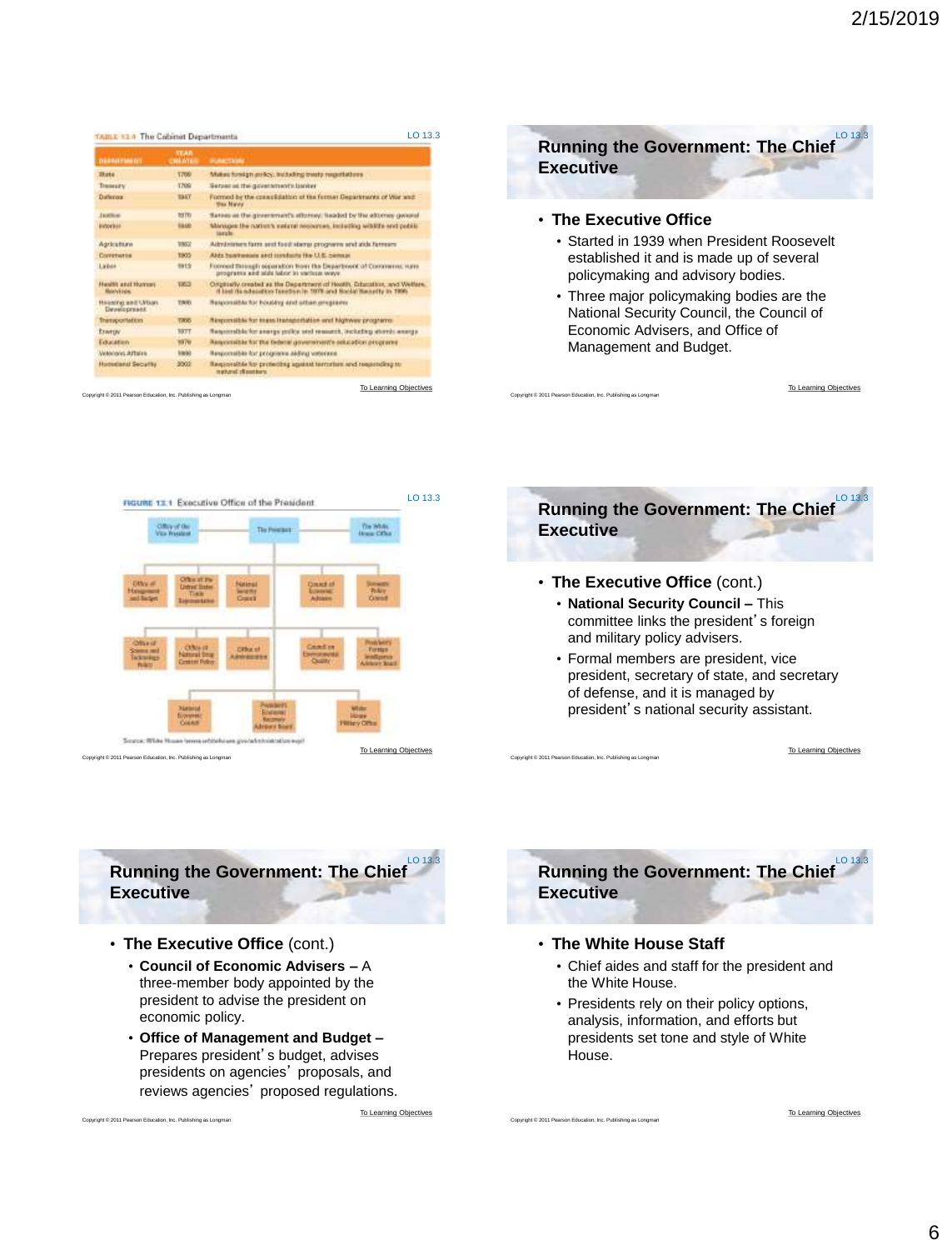| <b><i>DERESTORES</i></b>                    | <b>STAR</b><br><b>SHANTE</b> | <b>PUMPTIONS</b>                                                                                                                               |
|---------------------------------------------|------------------------------|------------------------------------------------------------------------------------------------------------------------------------------------|
| <b>District</b>                             | 1700                         | Makes foreign as Soc. Including treats responsibilities                                                                                        |
| <b>THIMAPY</b>                              | <b>T709</b>                  | Tetrant at the governments lander                                                                                                              |
| Datherora                                   | 1947                         | Formed by the creasibilities of the ferman Departments of Voir and<br><b>Mac Navy</b>                                                          |
| <b>Justice</b>                              | <b>BRTE</b>                  | Sates: as the given ments attorney, headed by the attorney general                                                                             |
| <b><i><u>Michoeless</u></i></b>             | 98.00                        | Minispective nation's extern resources, initiating wishing and public<br><b>Sanche</b>                                                         |
| Adrications                                 | <b>TIMV</b>                  | Ailministers farm and food starte programs and side farmers'                                                                                   |
| Corretaria                                  | <b>TROS</b>                  | Alds hannoous sectionships the U.S. Seman-                                                                                                     |
| Labor                                       | tist's                       | Formed through separation from the Department of Commerce, nam-<br>programs and still labor in various ways.                                   |
| <b>Handle seat Human</b><br><b>Marylink</b> | <b>VALUE</b>                 | Originally created as the Department of Health, Education, and Welfare.<br>If lost the admission function in 1979 and Blocke Hannelty in 1996. |
| <b>Historical and LVDay</b><br>Development  | <b>TIMES</b>                 | Responsible for Foulding stat other pregisters                                                                                                 |
| Transportation                              | 78.05                        | Responsible for mess transportation and highway programs                                                                                       |
| Enertry                                     | <b>BOTT</b>                  | Responsible for everys police and research, including storid; exerge                                                                           |
| Education                                   | 1979                         | Responsible for the fieleral dovernment's education programs.                                                                                  |
| Veterant Affairs                            | <b>MAGE</b>                  | Responsible for programs aiding vationing                                                                                                      |
| <b>Hodesterial Security</b>                 | 3002                         | Required ble for protecting against terrorism and responding to<br>matural chausters.                                                          |

(M © 2011 Pearson Education, Inc. Publishing as Long



National Security Council, the Council of Economic Advisers, and Office of Management and Budget.



Copyright © 2011 Pearson Education, Inc. Publishing as Longman



• **The Executive Office** (cont.)

Copyright © 2011 Pearson Education, Inc. Publishing as Longman

Copyright © 2011 Pearson Education, Inc. Publishing as Longman

Copyright © 2011 Pearson Education, Inc. Publishing as Longman

- **National Security Council –** This committee links the president's foreign and military policy advisers.
- Formal members are president, vice president, secretary of state, and secretary of defense, and it is managed by president's national security assistant.

[To Learning Objectives](#page-0-0)

[To Learning Objectives](#page-0-0)

**Running the Government: The Chief Executive**  $LO 13.3$ 

• **The Executive Office** (cont.)

Copyright © 2011 Pearson Education, Inc. Publishing as Longman

- **Council of Economic Advisers –** A three-member body appointed by the president to advise the president on economic policy.
- **Office of Management and Budget –** Prepares president's budget, advises presidents on agencies' proposals, and reviews agencies' proposed regulations.

[To Learning Objectives](#page-0-0)



### • **The White House Staff**

- Chief aides and staff for the president and the White House.
- Presidents rely on their policy options, analysis, information, and efforts but presidents set tone and style of White House.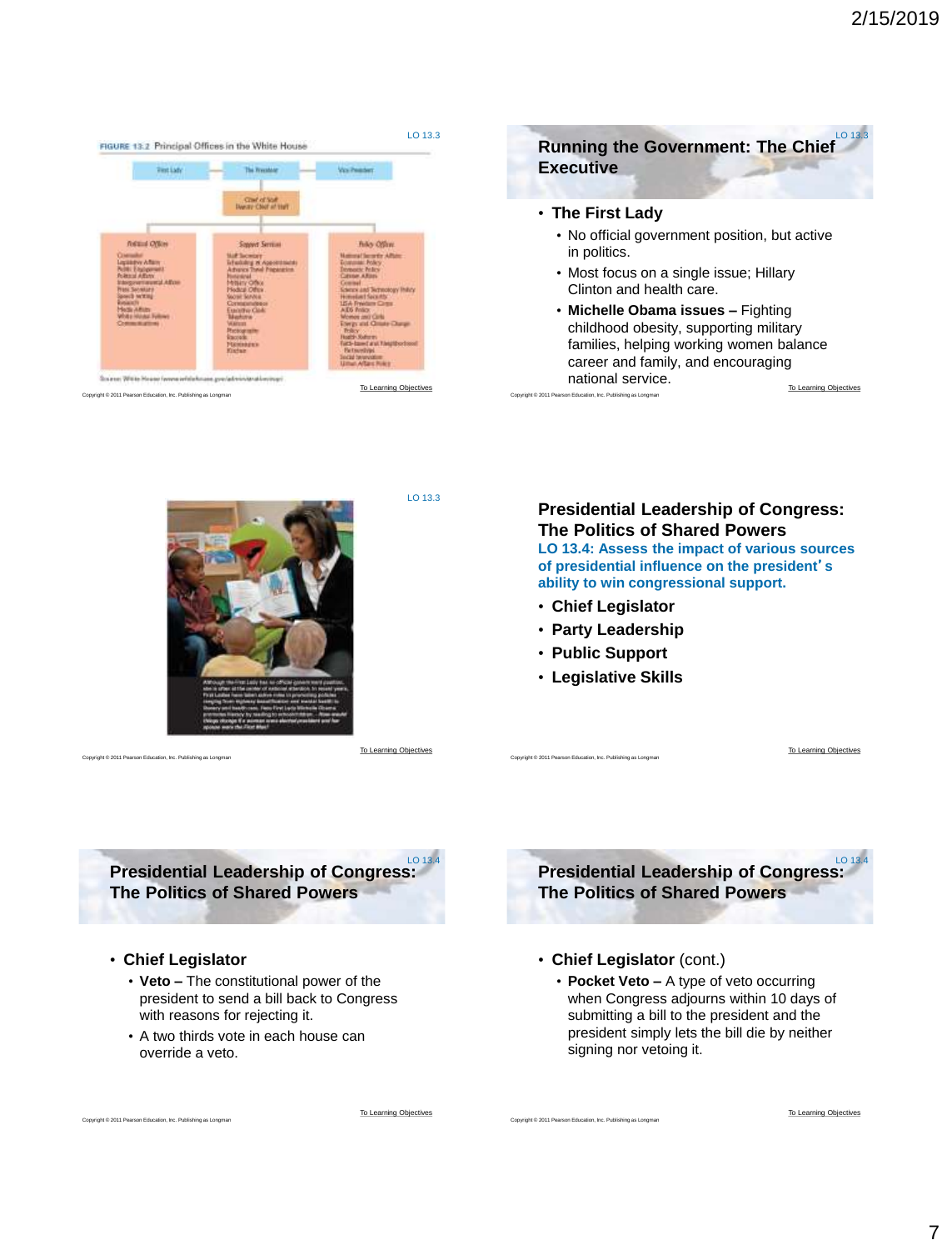<span id="page-6-0"></span>



Copyright © 2011 Pearson Education, Inc. Publishing as Longman

LO 13.3

## **Presidential Leadership of Congress: The Politics of Shared Powers**

**LO 13.4: Assess the impact of various sources of presidential influence on the president**'**s ability to win congressional support.**

- **Chief Legislator**
- **Party Leadership**
- **Public Support**

Copyright © 2011 Pearson Education, Inc. Publishing as Longman

Copyright © 2011 Pearson Education, Inc. Publishing as Longman

• **Legislative Skills**

[To Learning Objectives](#page-0-0)

**Presidential Leadership of Congress: The Politics of Shared Powers** LO 13.4

- **Chief Legislator** (cont.)
	- **Pocket Veto –** A type of veto occurring when Congress adjourns within 10 days of submitting a bill to the president and the president simply lets the bill die by neither signing nor vetoing it.

**Presidential Leadership of Congress: The Politics of Shared Powers** LO 13.4

## • **Chief Legislator**

Copyright © 2011 Pearson Education, Inc. Publishing as Longman

- **Veto –** The constitutional power of the president to send a bill back to Congress with reasons for rejecting it.
- A two thirds vote in each house can override a veto.

[To Learning Objectives](#page-0-0)

[To Learning Objectives](#page-0-0)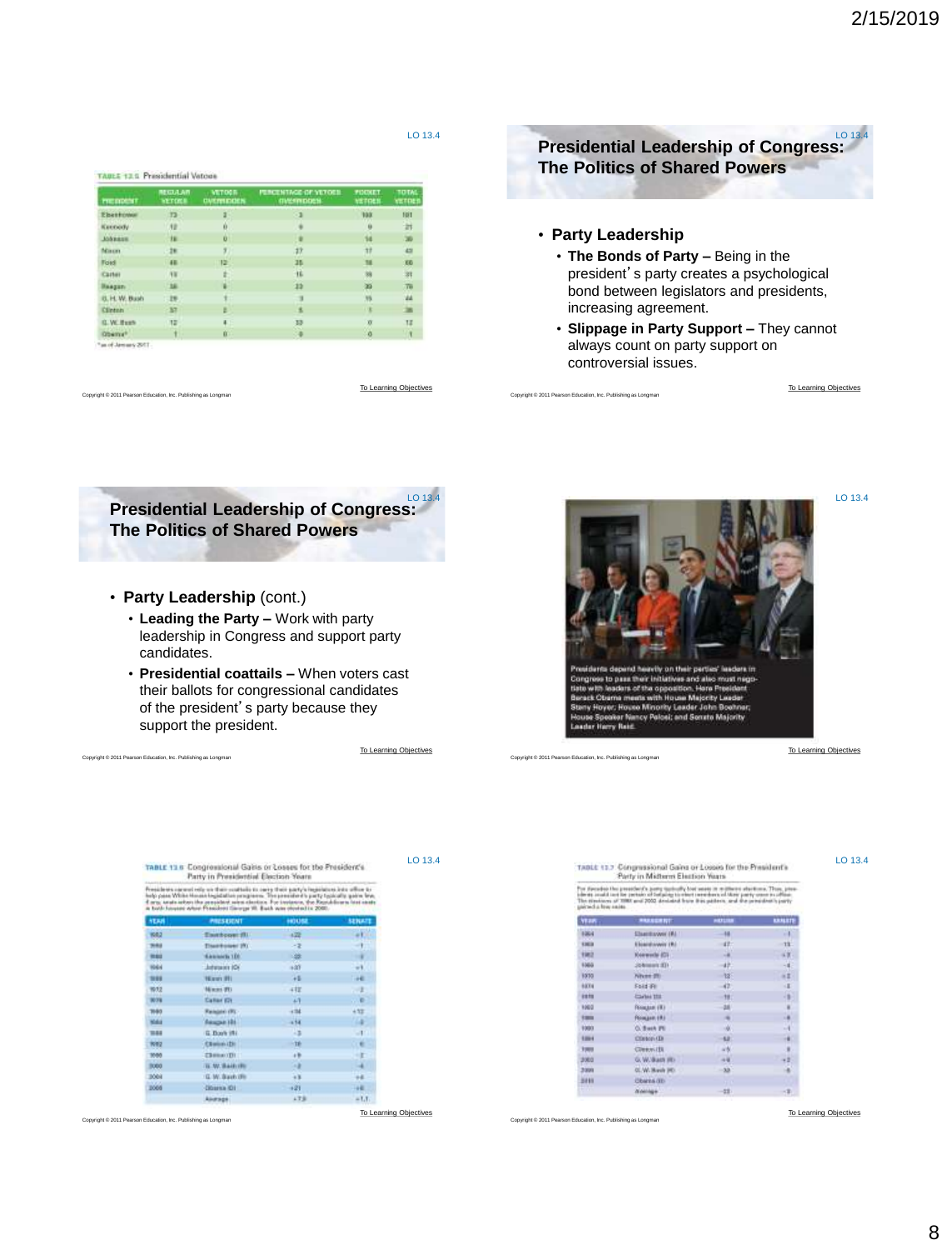TABLE 13.5 Presidential Vetose

| <b>FIE DOM T</b>    | <b>REIGIAN</b><br><b>NETDER</b> | <b>VETOOR</b><br><b><i><i><u><b>OVERSEDDEN</b></u></i></i></b> | <b>FUNCENTAGE OF YETOES</b><br><b><i>INSTRUCES</i></b> | <b>PUCKET</b><br>VETRES | TOTAL<br>VETOES |
|---------------------|---------------------------------|----------------------------------------------------------------|--------------------------------------------------------|-------------------------|-----------------|
| Ebertowa            | 12                              | ٠                                                              | 53                                                     | 1931                    | 101             |
| Keenedy             | AB.                             | ø                                                              |                                                        | ü                       | <b>SH</b>       |
| <b>Abbanne</b>      | 挫                               | o                                                              |                                                        | 14                      | w               |
| Naun                | 281                             | 9)                                                             | 17                                                     | 77                      | 431             |
| Ford                | 48                              | 12                                                             | 35.                                                    | 38                      | E6              |
| Carter              | <b>YK</b>                       |                                                                | 16                                                     | 狥                       | 渊               |
| <b>Haagan</b>       | 36                              |                                                                | 22                                                     | m                       | 78              |
| U. H. W. Bush       | $-19$ .                         |                                                                |                                                        | N <sub>2</sub>          | MA.             |
| Clinton             | 37                              |                                                                | я                                                      | DΕ                      | 38              |
| G. W. Bush          | 12                              | 4                                                              | 33                                                     | o                       | TI              |
| Oberry <sup>6</sup> | ٤.                              | $0 -$                                                          | - 6                                                    | $\circ$                 | $\mathbf{I}$    |
| 178 years My in "   |                                 |                                                                |                                                        |                         |                 |

right © 2011 Pearson Education, Inc. Publishing as Longman

Copyright © 2011 Pearson Education, Inc. Publishing as Longman

right © 2011 Pearson Education, Inc. Publishing as Long

[To Learning Objectives](#page-0-0)



- president's party creates a psychological bond between legislators and presidents, increasing agreement.
- **Slippage in Party Support –** They cannot always count on party support on controversial issues.

[To Learning Objectives](#page-0-0)

LO 13.4



- **Party Leadership** (cont.)
	- **Leading the Party –** Work with party leadership in Congress and support party candidates.
	- **Presidential coattails –** When voters cast their ballots for congressional candidates of the president's party because they support the president.

[To Learning Objectives](#page-0-0)

LO 13.4



Copyright © 2011 Pearson Education, Inc. Publishing as Longman

Copyright © 2011 Pearson Education, Inc. Publishing as Longman

[To Learning Objectives](#page-0-0)

LO 13.4

|                                                                                                                                                                                                                                                                                                       | <b>CITY IN LABRASSING ESSEROU-SERIE</b> |       |               |
|-------------------------------------------------------------------------------------------------------------------------------------------------------------------------------------------------------------------------------------------------------------------------------------------------------|-----------------------------------------|-------|---------------|
| ledlo un tham contituite to party that tearty's institutor.<br>help pass With House logislation programs. The president's party typically<br>rts; analyzisters the president sales distribut. For instance, the Republicants his<br>a both houses which President Garage VI. Buch was stored in 2000. |                                         |       |               |
| <b>NEAN</b>                                                                                                                                                                                                                                                                                           | PRESENT                                 | HOUSE | <b>SERAIT</b> |
| 105.2                                                                                                                                                                                                                                                                                                 | Emitteow: (8)                           | 4.22  |               |
| mag                                                                                                                                                                                                                                                                                                   | Thankslow (R)                           | -2    |               |
| mail                                                                                                                                                                                                                                                                                                  | <b>EasterN's 1DF</b>                    | ÷     |               |
| <b>HALL</b>                                                                                                                                                                                                                                                                                           | - Advance IOS                           | +an   |               |
| 98                                                                                                                                                                                                                                                                                                    | 16 avev 1991                            | 4B    | $-46$         |
| 99.72                                                                                                                                                                                                                                                                                                 | Norma (PD)                              | 412   |               |
| 9639                                                                                                                                                                                                                                                                                                  | <b>Caller ITY</b>                       | $+1$  | $\bullet$     |
| ---                                                                                                                                                                                                                                                                                                   | <b>Building College College</b>         | --    | L. Allen      |

TABLE 13 B Congressional Gains or Losses for the President's

 $\ddotsc$ NA **Respublik** m G. Days 19 Weg Clean (b)  $-10$ 3500 **CHINOTI**  $\rightarrow$ **IL W. Baik (R)** 3004 G. W. Bach (R) ä  $\left\langle \hat{z}\right\rangle$  $1000$ diama di 44 Alexan  $57.8$  $=1.1$ 

[To Learning Objectives](#page-0-0)

TABLE 13.2 Congressional Gains or Lococo for the President's<br>Party in Misterre Election Years

The discussion the president's jump systemly but were in relations absolutes. Then, president in the problem of butches in the control of the control of the control of the control of the control of the control of the contr mentos

| <b>YEAR</b> | <b>MARGERY</b>   | ww                       | uun                  |
|-------------|------------------|--------------------------|----------------------|
| 1204        | Elsenbayer (#1)  | 46                       | H.                   |
| <b>EMER</b> | Elisabeth weight | 437                      | $-11$                |
| 树           | Keawech (C)      |                          | út.                  |
| 1369        | <b>CETHIONS</b>  | dh.                      | ä.                   |
| 1030        | Niver 20         | $-18.7$                  | $\mathbf{1}$         |
| 6574        | Fold in          | $\frac{47}{16}$          | ä.                   |
| 49.79       | Carbot 158       |                          | $\ddot{\phantom{a}}$ |
| 1002        | FEMALES (R)      |                          |                      |
| $\equiv$    | Floware, 1931    | 阴间                       |                      |
| 1000        | O. Buch PE       | $\mathcal{N}$            | $\bullet$            |
| tase        | Clinton (D)      | 42                       |                      |
| 1989        | <b>Clean IS</b>  | $\frac{1}{\alpha+\beta}$ |                      |
| 3000        | G. W. Bash (R)   | $\alpha$                 |                      |
| 3,939       | OL W. Basik (HD. | $\mathbf{m}$             | $+1$                 |
| 2419        | Charns (ED       |                          |                      |
| - 7         | <b>Weekland</b>  | $-22$                    | -2                   |
|             |                  |                          |                      |

Copyright © 2011 Pearson Education, Inc. Publishing as Longman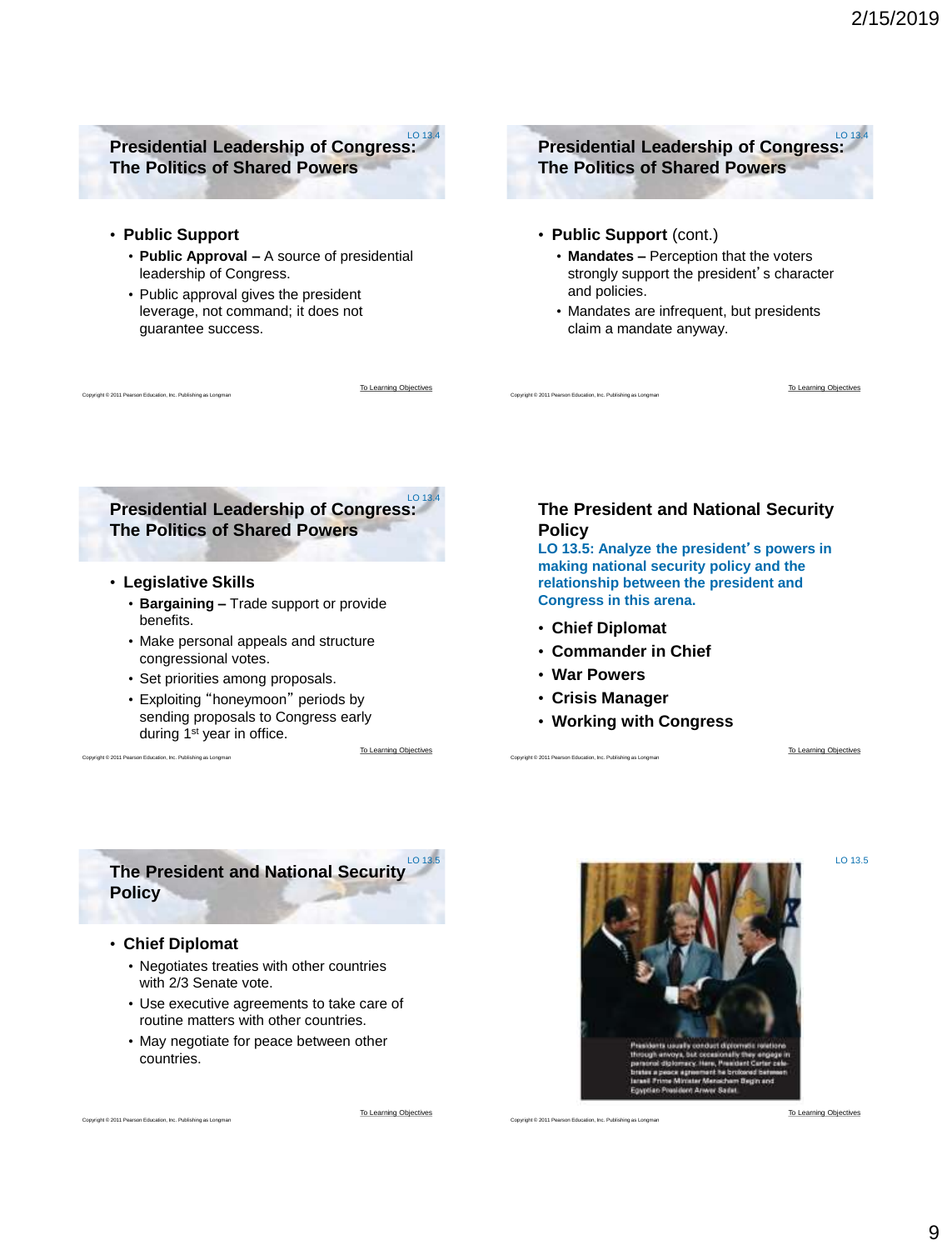#### <span id="page-8-0"></span>**Presidential Leadership of Congress: The Politics of Shared Powers** LO 13.4

• **Public Support**

Copyright © 2011 Pearson Education, Inc. Publishing as Longman

- **Public Approval –** A source of presidential leadership of Congress.
- Public approval gives the president leverage, not command; it does not guarantee success.

[To Learning Objectives](#page-0-0)

**Presidential Leadership of Congress: The Politics of Shared Powers**  $LO 13.4$ 

- **Public Support** (cont.)
	- **Mandates –** Perception that the voters strongly support the president's character and policies.
	- Mandates are infrequent, but presidents claim a mandate anyway.

**Presidential Leadership of Congress: The Politics of Shared Powers**

- **Legislative Skills**
	- **Bargaining –** Trade support or provide benefits.
	- Make personal appeals and structure congressional votes.
	- Set priorities among proposals.
	- Exploiting "honeymoon" periods by sending proposals to Congress early during 1<sup>st</sup> year in office.

[To Learning Objectives](#page-0-0)

## **The President and National Security Policy**

**LO 13.5: Analyze the president**'**s powers in making national security policy and the relationship between the president and Congress in this arena.**

• **Chief Diplomat**

Copyright © 2011 Pearson Education, Inc. Publishing as Longman

- **Commander in Chief**
- **War Powers**

Copyright © 2011 Pearson Education, Inc. Publishing as Longman

- **Crisis Manager**
- **Working with Congress**

[To Learning Objectives](#page-0-0)

LO 13.5

[To Learning Objectives](#page-0-0)

**The President and National Security Policy**  $LO 13.5$ 

• **Chief Diplomat**

pht © 2011 Pearson Education, Inc. Publishing as Long

Copyright © 2011 Pearson Education, Inc. Publishing as Longman

- Negotiates treaties with other countries with 2/3 Senate vote.
- Use executive agreements to take care of routine matters with other countries.
- May negotiate for peace between other countries.



Copyright © 2011 Pearson Education, Inc. Pul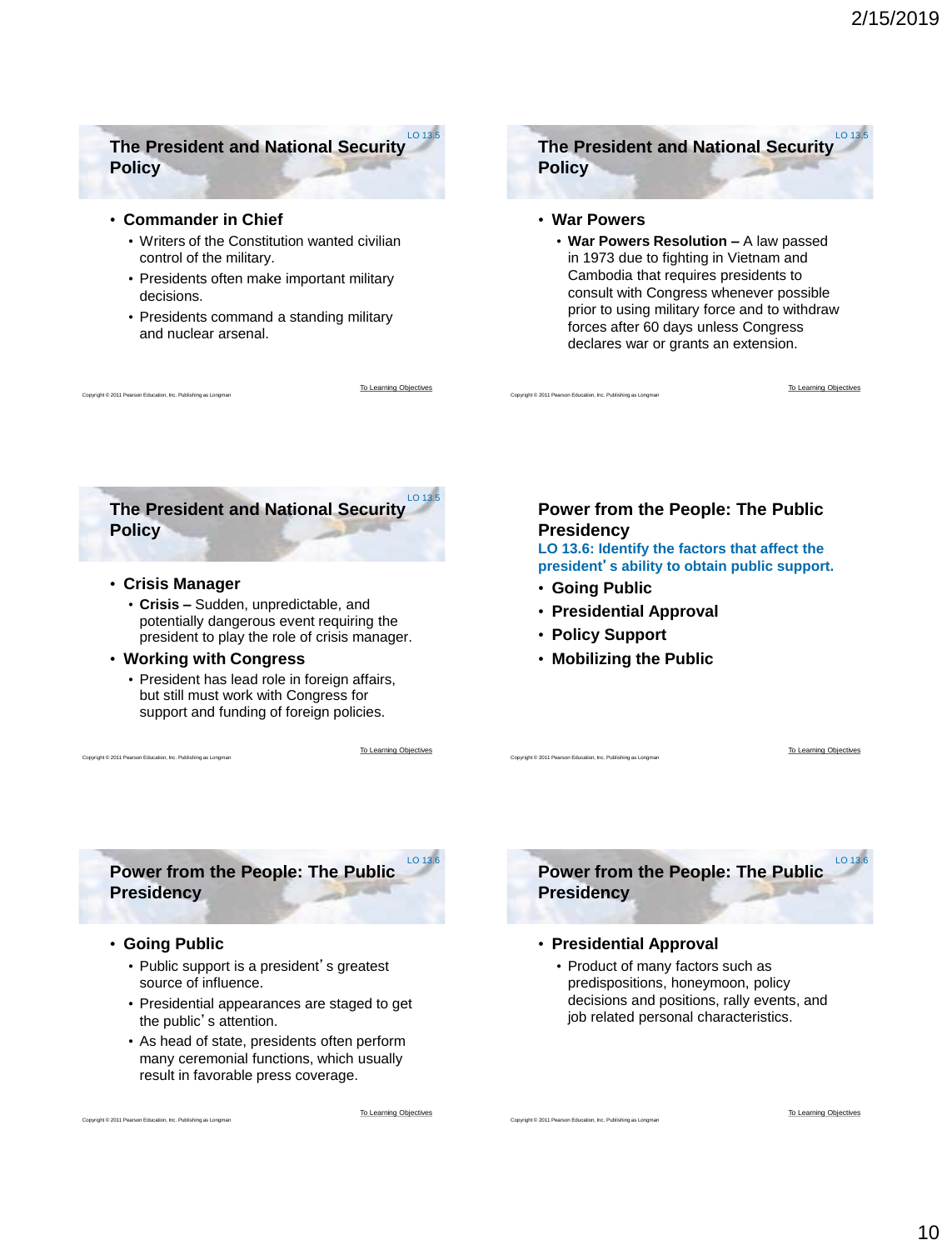## <span id="page-9-0"></span>**The President and National Security Policy**

#### • **Commander in Chief**

- Writers of the Constitution wanted civilian control of the military.
- Presidents often make important military decisions.
- Presidents command a standing military and nuclear arsenal.

[To Learning Objectives](#page-0-0)

LO 13.5



#### • **War Powers**

Copyright © 2011 Pearson Education, Inc. Publishing as Longman

• **War Powers Resolution –** A law passed in 1973 due to fighting in Vietnam and Cambodia that requires presidents to consult with Congress whenever possible prior to using military force and to withdraw forces after 60 days unless Congress declares war or grants an extension.

[To Learning Objectives](#page-0-0)



• **Crisis Manager**

nt © 2011 Pearson Education, Inc. Publishing as Long

- **Crisis –** Sudden, unpredictable, and potentially dangerous event requiring the president to play the role of crisis manager.
- **Working with Congress**
	- President has lead role in foreign affairs, but still must work with Congress for support and funding of foreign policies.

[To Learning Objectives](#page-0-0)

 $10136$ 

## **Power from the People: The Public Presidency**

**LO 13.6: Identify the factors that affect the president**'**s ability to obtain public support.**

• **Going Public**

Copyright © 2011 Pearson Education, Inc. Publishing as Longman

Copyright © 2011 Pearson Education, Inc. Publishing as Longma

- **Presidential Approval**
- **Policy Support**
- **Mobilizing the Public**

[To Learning Objectives](#page-0-0)

**Power from the People: The Public Presidency**

• **Going Public**

Copyright © 2011 Pearson Education, Inc. Publishing as Longman

Copyright © 2011 Pearson Education, Inc. Publishing as Longman

- Public support is a president's greatest source of influence.
- Presidential appearances are staged to get the public's attention.
- As head of state, presidents often perform many ceremonial functions, which usually result in favorable press coverage.

[To Learning Objectives](#page-0-0)



#### • **Presidential Approval**

• Product of many factors such as predispositions, honeymoon, policy decisions and positions, rally events, and job related personal characteristics.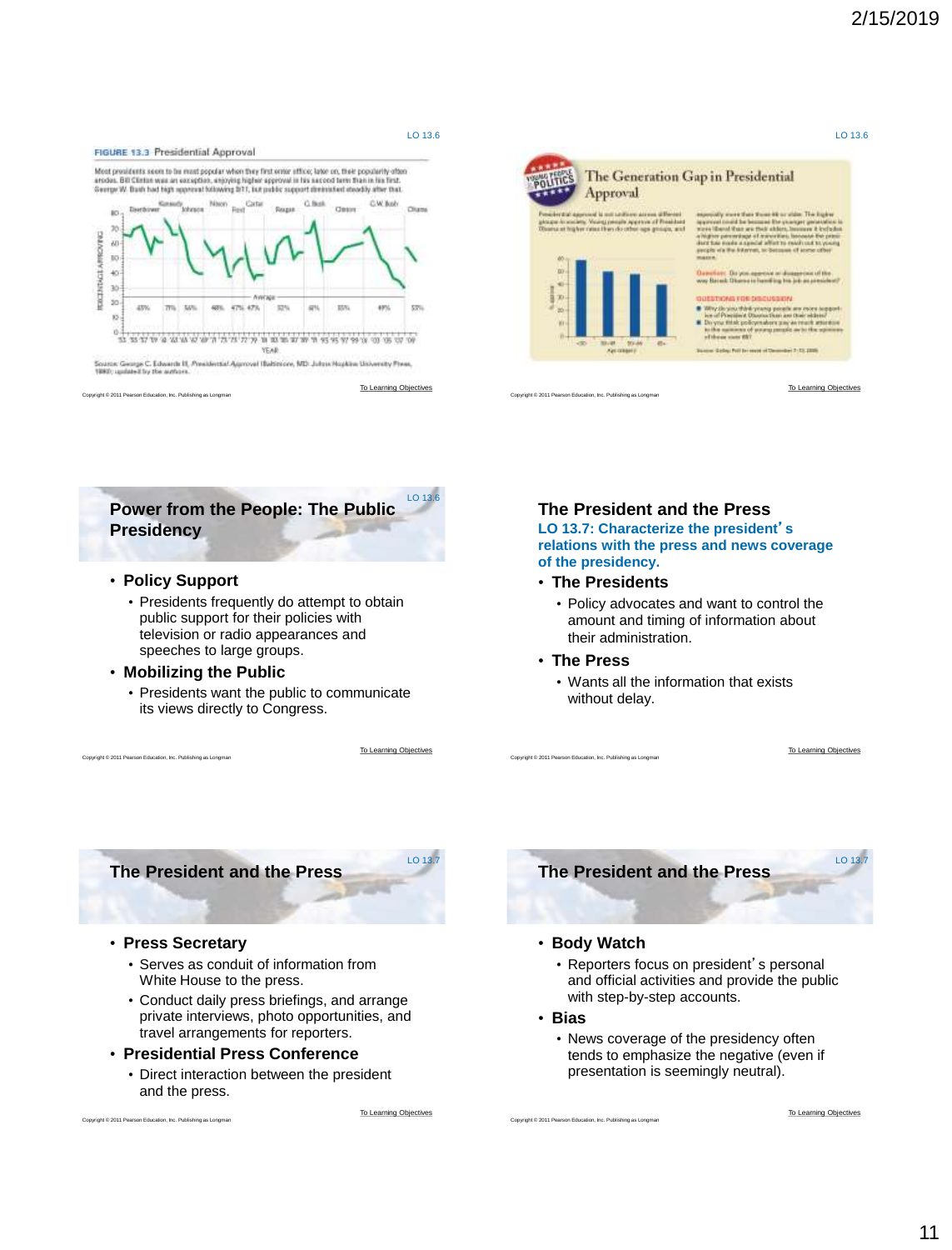<span id="page-10-0"></span>

LO 13.6 The Generation Gap in Presidential Approval Corner of Preside [To Learning Objectives](#page-0-0) Convright © 2011 Pearson Education, Inc. Publishing as Longr



• **Policy Support**

Copyright © 2011 Pearson Education, Inc. Publishing as Longman

- Presidents frequently do attempt to obtain public support for their policies with television or radio appearances and speeches to large groups.
- **Mobilizing the Public**
	- Presidents want the public to communicate its views directly to Congress.

[To Learning Objectives](#page-0-0)

LO 13.7

LO 13.6

## **The President and the Press**

**LO 13.7: Characterize the president**'**s relations with the press and news coverage of the presidency.**

- **The Presidents**
	- Policy advocates and want to control the amount and timing of information about their administration.
- **The Press**

Copyright © 2011 Pearson Education, Inc. Publishing as Longman

• Wants all the information that exists without delay.

[To Learning Objectives](#page-0-0)

**The President and the Press**

• **Press Secretary**

Copyright © 2011 Pearson Education, Inc. Publishing as Longman

- Serves as conduit of information from White House to the press.
- Conduct daily press briefings, and arrange private interviews, photo opportunities, and travel arrangements for reporters.
- **Presidential Press Conference**
	- Direct interaction between the president and the press.

[To Learning Objectives](#page-0-0)



### • **Body Watch**

- Reporters focus on president's personal and official activities and provide the public with step-by-step accounts.
- **Bias**

Copyright © 2011 Pearson Education, Inc. Publishing as Longman

• News coverage of the presidency often tends to emphasize the negative (even if presentation is seemingly neutral).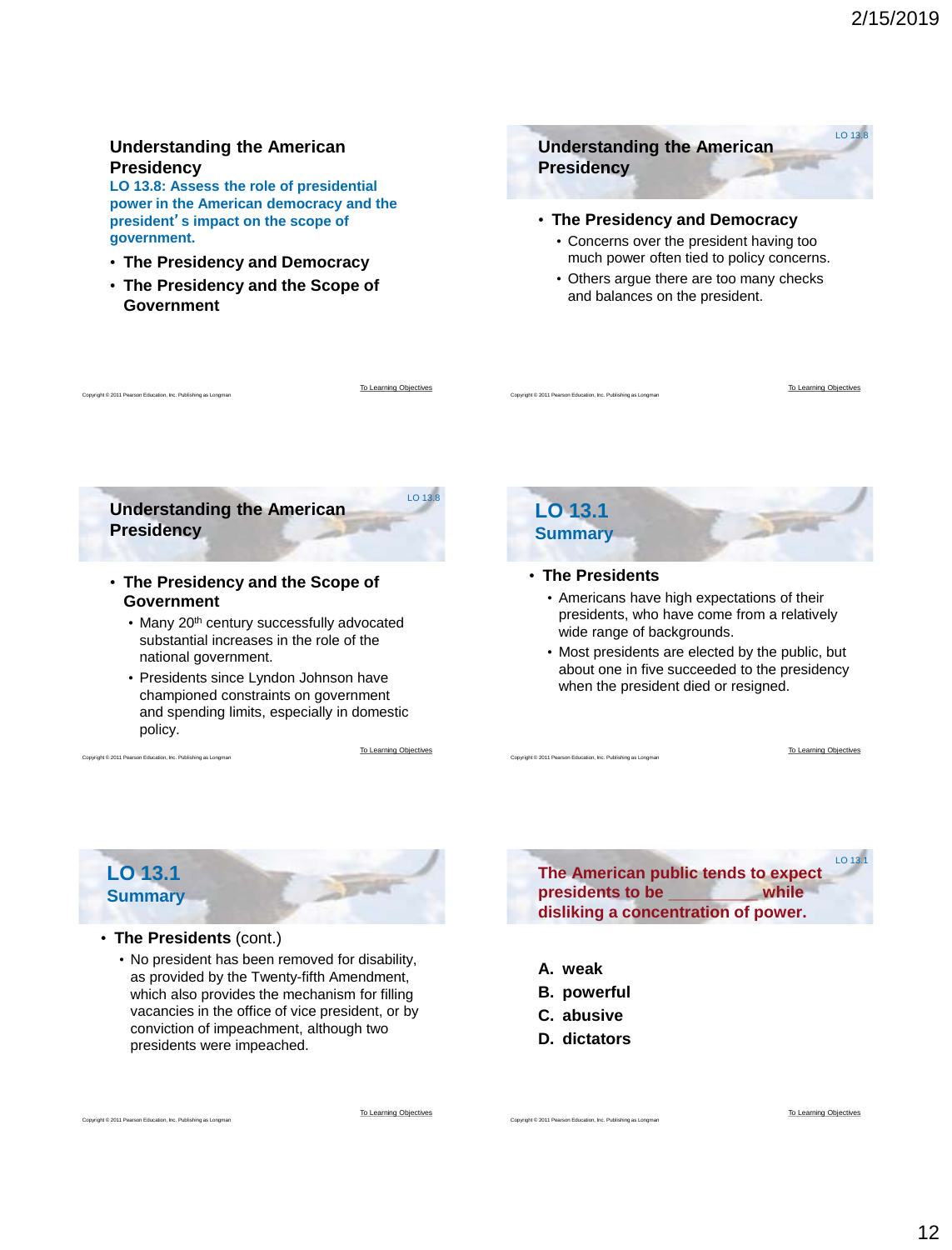## <span id="page-11-0"></span>**Understanding the American Presidency**

**LO 13.8: Assess the role of presidential power in the American democracy and the president**'**s impact on the scope of government.**

- **The Presidency and Democracy**
- **The Presidency and the Scope of Government**

## **Understanding the American Presidency** LO 13.8

#### • **The Presidency and Democracy**

- Concerns over the president having too much power often tied to policy concerns.
- Others argue there are too many checks and balances on the president.

**Understanding the American Presidency**

- **The Presidency and the Scope of Government**
	- Many 20<sup>th</sup> century successfully advocated substantial increases in the role of the national government.
	- Presidents since Lyndon Johnson have championed constraints on government and spending limits, especially in domestic policy.

[To Learning Objectives](#page-0-0)

[To Learning Objectives](#page-0-0) Copyright Copyright Copyright Copyright Copyright Copyright Copyright Copyright Copyright Copyright Copyright Copyright Copyright Copyright Copyright Copyright Copyright Copyright Copyright Copyright Copyright Copyright Co

LO  $13$ .

## **LO 13.1 Summary**

#### • **The Presidents**

Copyright © 2011 Pearson Education, Inc. Publishing as Longman

- Americans have high expectations of their presidents, who have come from a relatively wide range of backgrounds.
- Most presidents are elected by the public, but about one in five succeeded to the presidency when the president died or resigned.

[To Learning Objectives](#page-0-0)

[To Learning Objectives](#page-0-0)

## **LO 13.1 Summary**

Int © 2011 Pearson Education, Inc. Publishing as Lon

Copyright © 2011 Pearson Education, Inc. Publishing as Longman

#### • **The Presidents** (cont.)

• No president has been removed for disability, as provided by the Twenty-fifth Amendment, which also provides the mechanism for filling vacancies in the office of vice president, or by conviction of impeachment, although two presidents were impeached.



- **A. weak**
- **B. powerful**
- **C. abusive**
- **D. dictators**

[To Learning Objectives](#page-0-0)

Copyright © 2011 Pearson Education, Inc. Publishing as Longma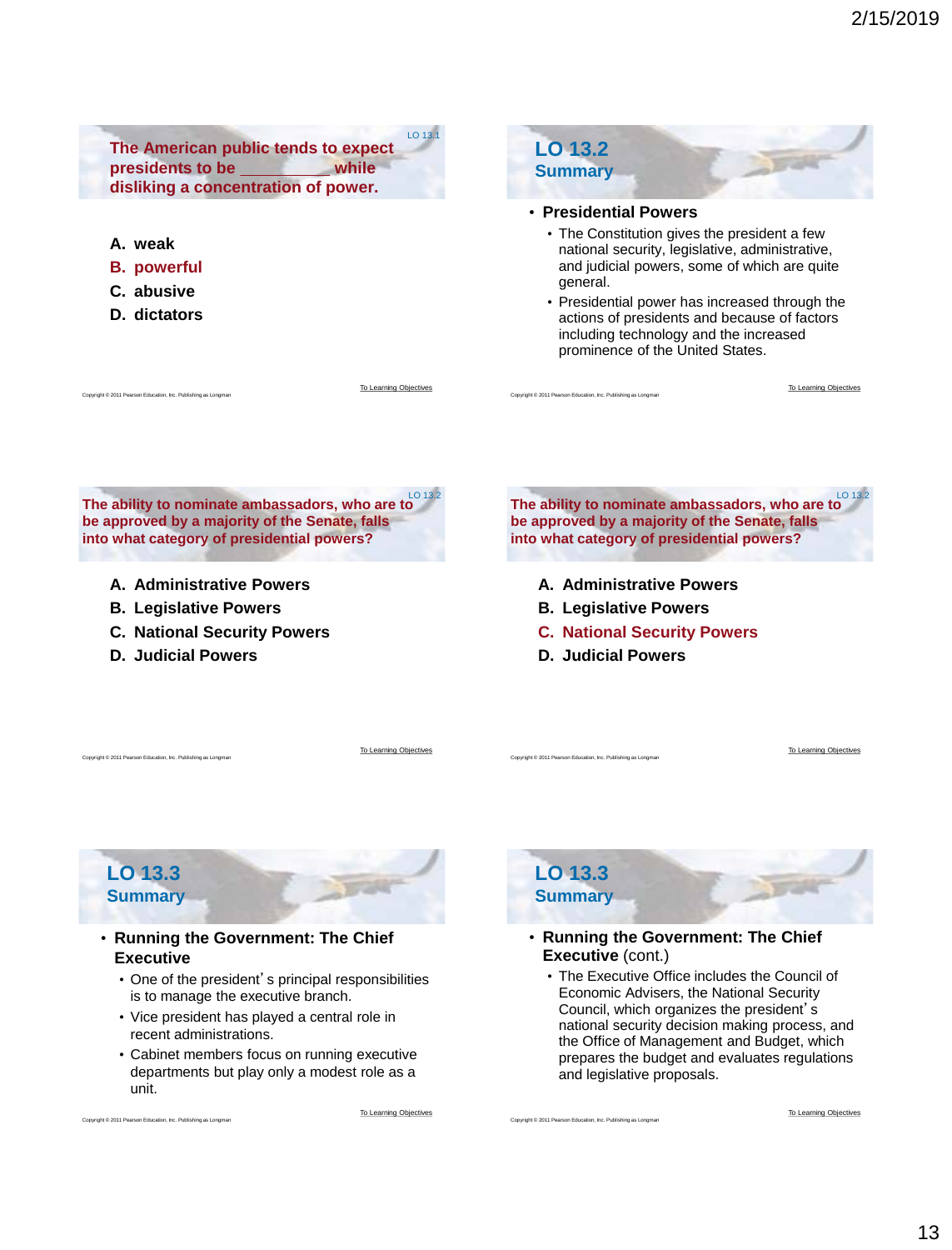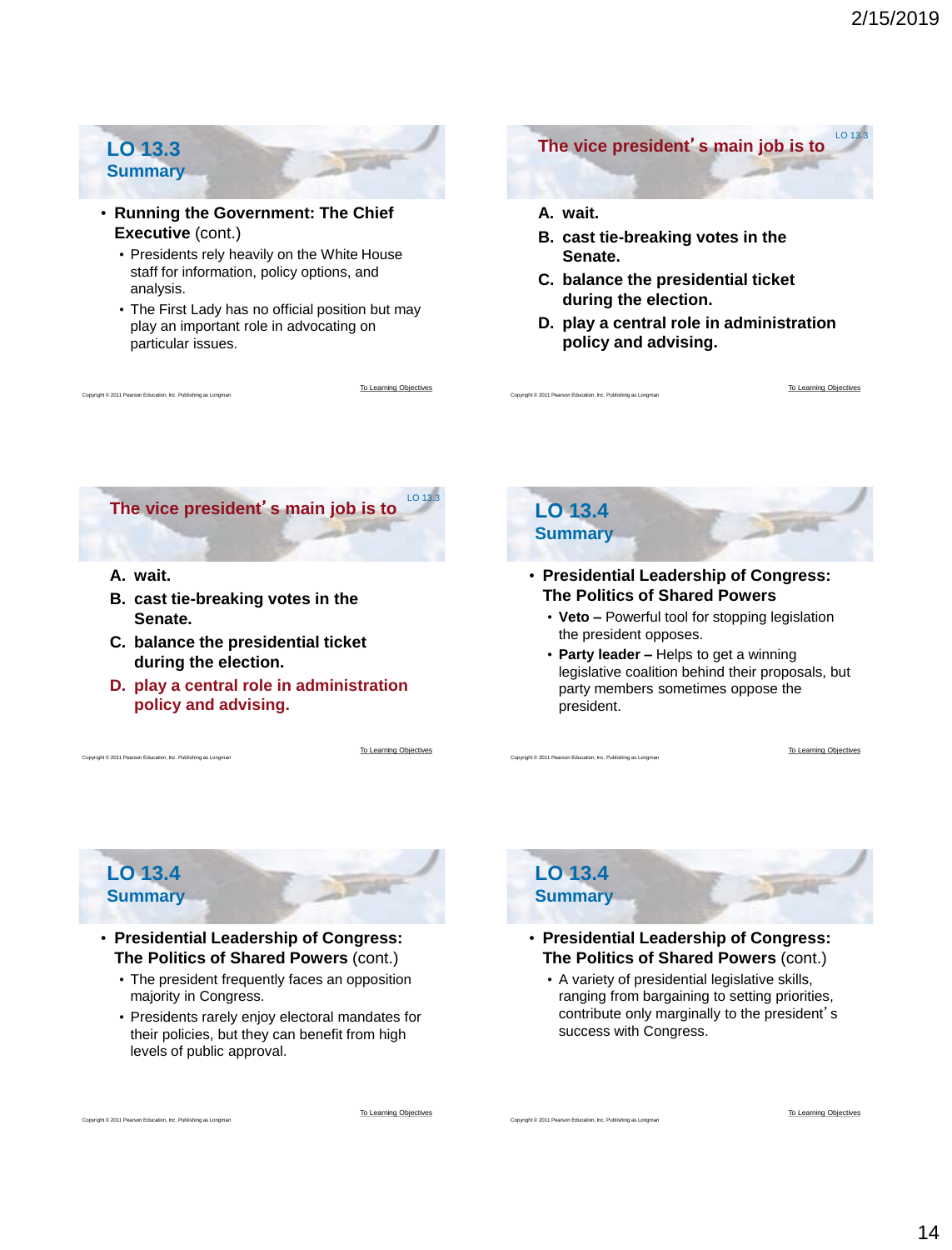## **LO 13.3 Summary**

- **Running the Government: The Chief Executive** (cont.)
	- Presidents rely heavily on the White House staff for information, policy options, and analysis.
	- The First Lady has no official position but may play an important role in advocating on particular issues.



**B. cast tie-breaking votes in the Senate.**

**The vice president**'**s main job is to**

- **C. balance the presidential ticket during the election.**
- **D. play a central role in administration policy and advising.**



**A. wait.**

aht © 2011 Pearson Education, Inc. Publishing as Longman

- **B. cast tie-breaking votes in the Senate.**
- **C. balance the presidential ticket during the election.**
- **D. play a central role in administration policy and advising.**

[To Learning Objectives](#page-0-0)

[To Learning Objectives](#page-0-0)



Copyright © 2011 Pearson Education, Inc. Publishing as Longman

Copyright © 2011 Pearson Education, Inc. Publishing as Longman

Copyright © 2011 Pearson Education, Inc. Publishing as Longman

- **Presidential Leadership of Congress: The Politics of Shared Powers**
	- **Veto –** Powerful tool for stopping legislation the president opposes.
	- **Party leader –** Helps to get a winning legislative coalition behind their proposals, but party members sometimes oppose the president.

[To Learning Objectives](#page-0-0)

[To Learning Objectives](#page-0-0)

## **LO 13.4 Summary**

pht © 2011 Pearson Education, Inc. Publishing as Long

Copyright © 2011 Pearson Education, Inc. Publishing as Longman

- **Presidential Leadership of Congress: The Politics of Shared Powers** (cont.)
	- The president frequently faces an opposition majority in Congress.
	- Presidents rarely enjoy electoral mandates for their policies, but they can benefit from high levels of public approval.

**LO 13.4 Summary**

- **Presidential Leadership of Congress: The Politics of Shared Powers** (cont.)
	- A variety of presidential legislative skills, ranging from bargaining to setting priorities, contribute only marginally to the president's success with Congress.

[To Learning Objectives](#page-0-0)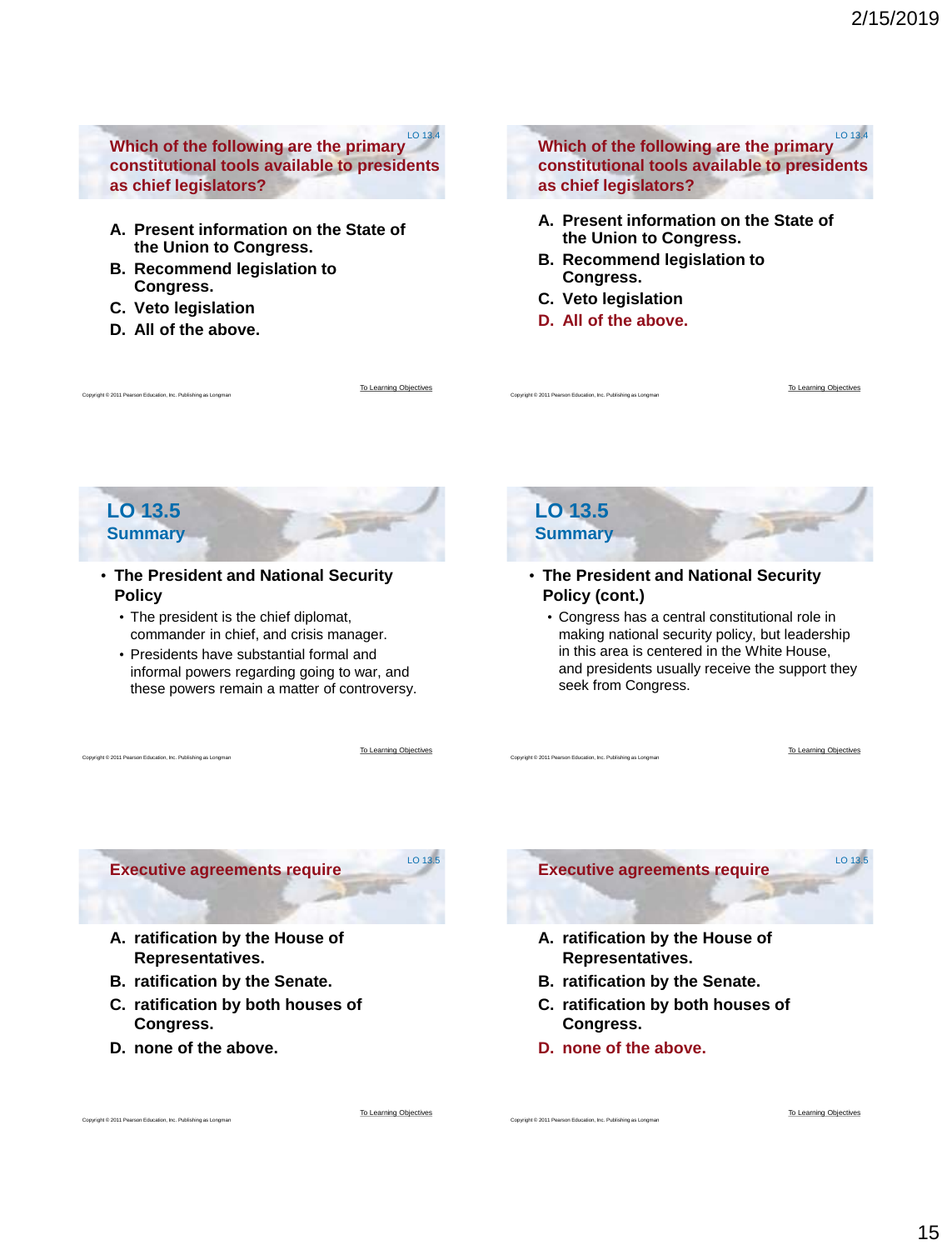**Which of the following are the primary constitutional tools available to presidents as chief legislators?** LO 13.4

- **A. Present information on the State of the Union to Congress.**
- **B. Recommend legislation to Congress.**
- **C. Veto legislation**
- **D. All of the above.**

[To Learning Objectives](#page-0-0)

[To Learning Objectives](#page-0-0)

 $L$  0.13 $\frac{1}{5}$ 

**Which of the following are the primary constitutional tools available to presidents as chief legislators?** LO 13.4

- **A. Present information on the State of the Union to Congress.**
- **B. Recommend legislation to Congress.**
- **C. Veto legislation**
- **D. All of the above.**

**LO 13.5 Summary**

Copyright © 2011 Pearson Education, Inc. Publishing as Longman

Int © 2011 Pearson Education, Inc. Publishing as Long

### • **The President and National Security Policy**

- The president is the chief diplomat, commander in chief, and crisis manager.
- Presidents have substantial formal and informal powers regarding going to war, and these powers remain a matter of controversy.

**LO 13.5 Summary**

Copyright © 2011 Pearson Education, Inc. Publishing as Longman

Copyright © 2011 Pearson Education, Inc. Publishing as Longma

- **The President and National Security Policy (cont.)**
	- Congress has a central constitutional role in making national security policy, but leadership in this area is centered in the White House, and presidents usually receive the support they seek from Congress.

[To Learning Objectives](#page-0-0)

[To Learning Objectives](#page-0-0)

**Executive agreements require**

- **A. ratification by the House of Representatives.**
- **B. ratification by the Senate.**
- **C. ratification by both houses of Congress.**
- **D. none of the above.**

Int © 2011 Pearson Education, Inc. Publishing as Lon



- **A. ratification by the House of Representatives.**
- **B. ratification by the Senate.**
- **C. ratification by both houses of Congress.**
- **D. none of the above.**

Copyright © 2011 Pearson Education, Inc. Publishing as Longma

[To Learning Objectives](#page-0-0)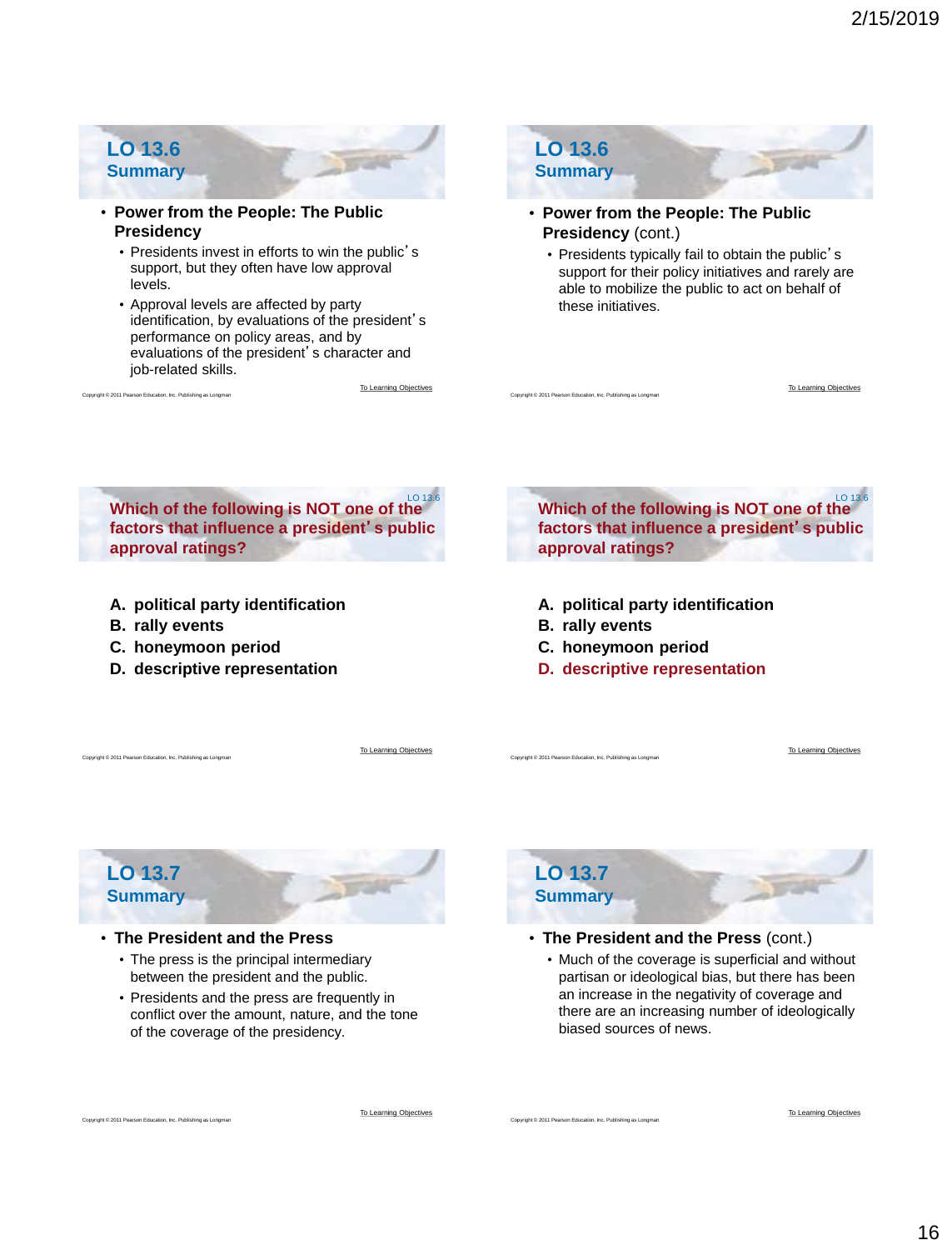## **LO 13.6 Summary**

- **Power from the People: The Public Presidency**
	- Presidents invest in efforts to win the public's support, but they often have low approval levels.
	- Approval levels are affected by party identification, by evaluations of the president's performance on policy areas, and by evaluations of the president's character and job-related skills.

[To Learning Objectives](#page-0-0)



- **Presidency** (cont.)
	- Presidents typically fail to obtain the public's support for their policy initiatives and rarely are able to mobilize the public to act on behalf of these initiatives.

**Which of the following is NOT one of the factors that influence a president**'**s public approval ratings?** LO 13.6

- **A. political party identification**
- **B. rally events**

Copyright © 2011 Pearson Education, Inc. Publishing as Longman

Copyright © 2011 Pearson Education, Inc. Publishing as Longman

- **C. honeymoon period**
- **D. descriptive representation**

**Which of the following is NOT one of the factors that influence a president**'**s public approval ratings?** LO 13.6

- **A. political party identification**
- **B. rally events**

Copyright © 2011 Pearson Education, Inc. Publishing as Longman

Copyright © 2011 Pearson Education, Inc. Publishing as Longman

Copyright © 2011 Pearson Education, Inc. Publishing as Longman

**LO 13.6**

- **C. honeymoon period**
- **D. descriptive representation**

[To Learning Objectives](#page-0-0)

[To Learning Objectives](#page-0-0)

[To Learning Objectives](#page-0-0)

## **LO 13.7 Summary**

pht © 2011 Pearson Education, Inc. Publishing as Lon

### • **The President and the Press**

- The press is the principal intermediary between the president and the public.
- Presidents and the press are frequently in conflict over the amount, nature, and the tone of the coverage of the presidency.



- **The President and the Press** (cont.)
	- Much of the coverage is superficial and without partisan or ideological bias, but there has been an increase in the negativity of coverage and there are an increasing number of ideologically biased sources of news.

[To Learning Objectives](#page-0-0)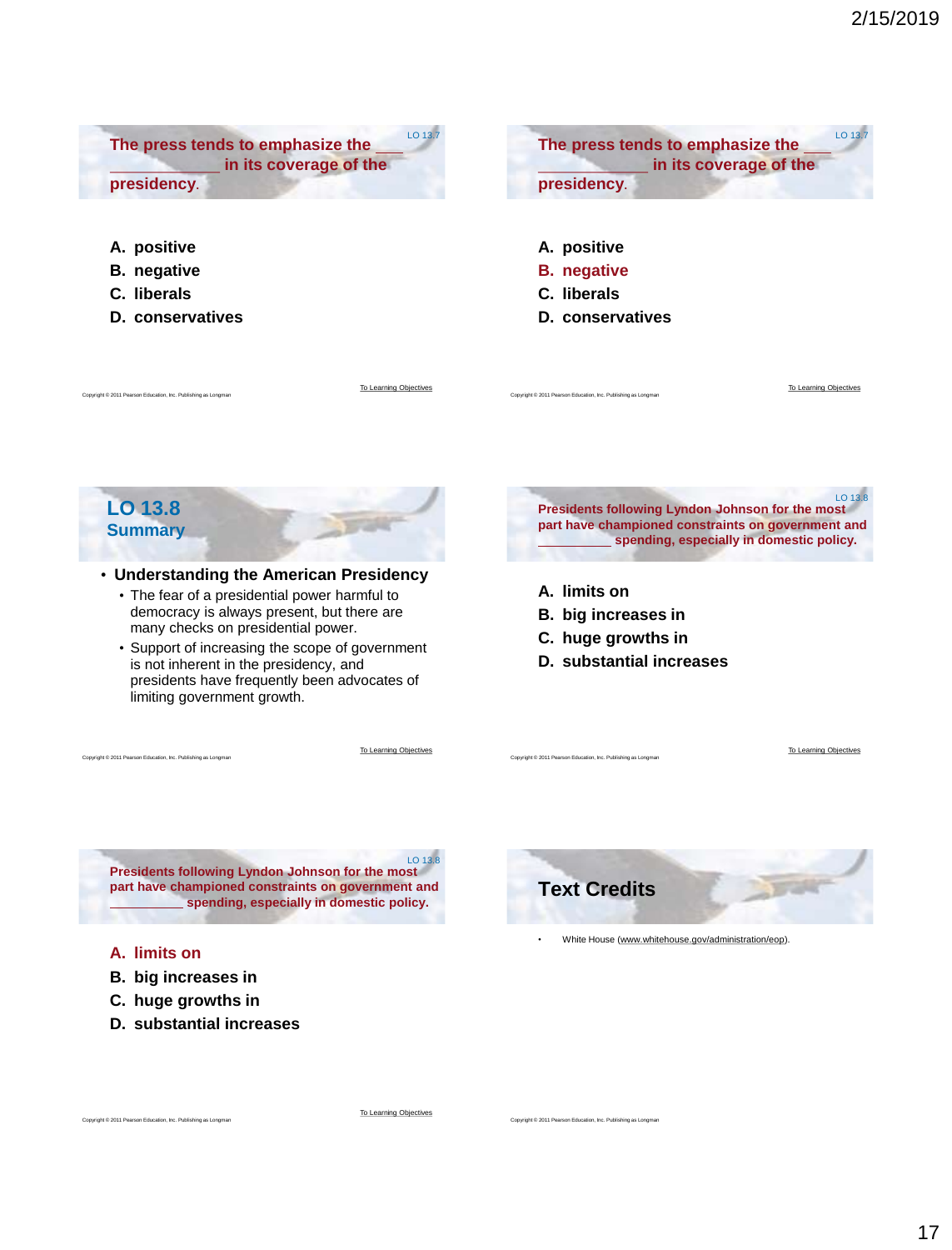